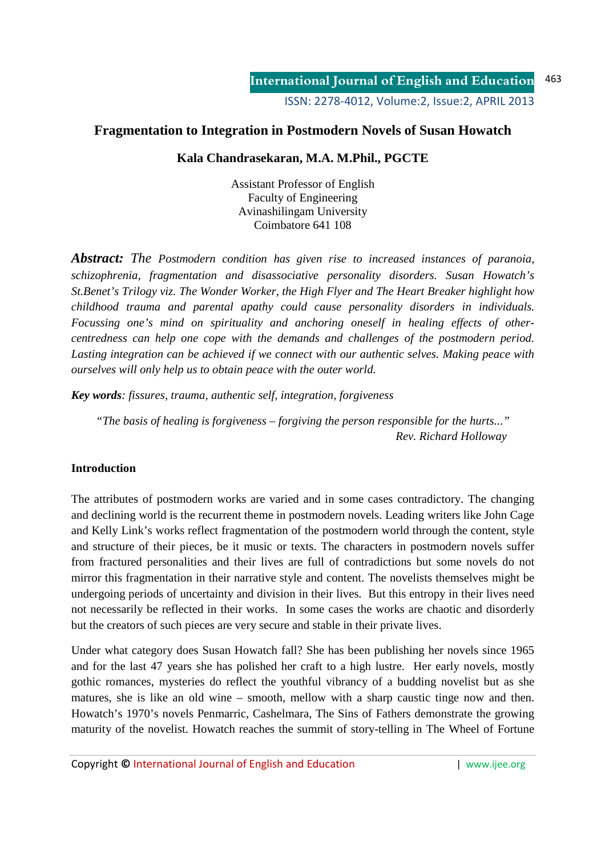# **Fragmentation to Integration in Postmodern Novels of Susan Howatch**

# **Kala Chandrasekaran, M.A. M.Phil., PGCTE**

Assistant Professor of English Faculty of Engineering Avinashilingam University Coimbatore 641 108

*Abstract: The Postmodern condition has given rise to increased instances of paranoia, schizophrenia, fragmentation and disassociative personality disorders. Susan Howatch's St.Benet's Trilogy viz. The Wonder Worker, the High Flyer and The Heart Breaker highlight how childhood trauma and parental apathy could cause personality disorders in individuals. Focussing one's mind on spirituality and anchoring oneself in healing effects of othercentredness can help one cope with the demands and challenges of the postmodern period. Lasting integration can be achieved if we connect with our authentic selves. Making peace with ourselves will only help us to obtain peace with the outer world.* 

*Key words: fissures, trauma, authentic self, integration, forgiveness* 

*"The basis of healing is forgiveness – forgiving the person responsible for the hurts..." Rev. Richard Holloway* 

#### **Introduction**

The attributes of postmodern works are varied and in some cases contradictory. The changing and declining world is the recurrent theme in postmodern novels. Leading writers like John Cage and Kelly Link's works reflect fragmentation of the postmodern world through the content, style and structure of their pieces, be it music or texts. The characters in postmodern novels suffer from fractured personalities and their lives are full of contradictions but some novels do not mirror this fragmentation in their narrative style and content. The novelists themselves might be undergoing periods of uncertainty and division in their lives. But this entropy in their lives need not necessarily be reflected in their works. In some cases the works are chaotic and disorderly but the creators of such pieces are very secure and stable in their private lives.

Under what category does Susan Howatch fall? She has been publishing her novels since 1965 and for the last 47 years she has polished her craft to a high lustre. Her early novels, mostly gothic romances, mysteries do reflect the youthful vibrancy of a budding novelist but as she matures, she is like an old wine – smooth, mellow with a sharp caustic tinge now and then. Howatch's 1970's novels Penmarric, Cashelmara, The Sins of Fathers demonstrate the growing maturity of the novelist. Howatch reaches the summit of story-telling in The Wheel of Fortune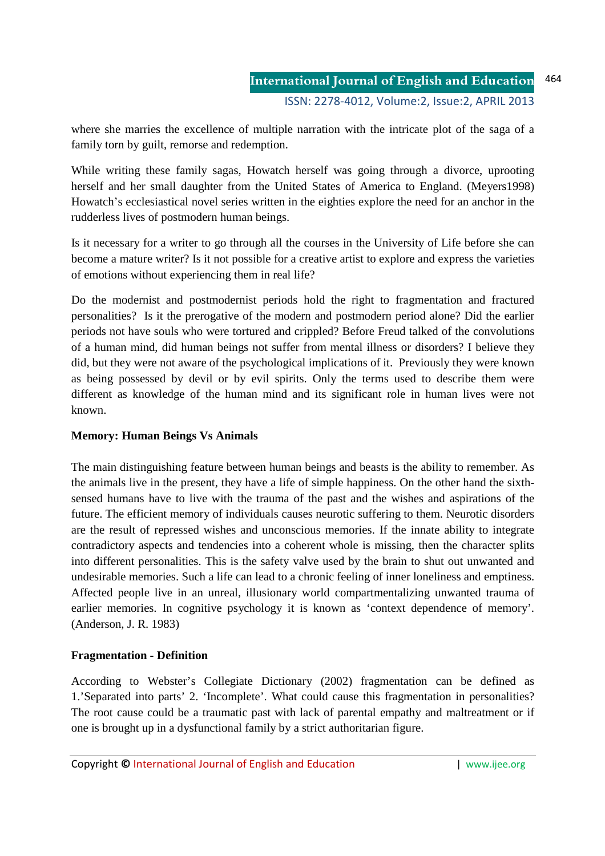where she marries the excellence of multiple narration with the intricate plot of the saga of a family torn by guilt, remorse and redemption.

While writing these family sagas, Howatch herself was going through a divorce, uprooting herself and her small daughter from the United States of America to England. (Meyers1998) Howatch's ecclesiastical novel series written in the eighties explore the need for an anchor in the rudderless lives of postmodern human beings.

Is it necessary for a writer to go through all the courses in the University of Life before she can become a mature writer? Is it not possible for a creative artist to explore and express the varieties of emotions without experiencing them in real life?

Do the modernist and postmodernist periods hold the right to fragmentation and fractured personalities? Is it the prerogative of the modern and postmodern period alone? Did the earlier periods not have souls who were tortured and crippled? Before Freud talked of the convolutions of a human mind, did human beings not suffer from mental illness or disorders? I believe they did, but they were not aware of the psychological implications of it. Previously they were known as being possessed by devil or by evil spirits. Only the terms used to describe them were different as knowledge of the human mind and its significant role in human lives were not known.

#### **Memory: Human Beings Vs Animals**

The main distinguishing feature between human beings and beasts is the ability to remember. As the animals live in the present, they have a life of simple happiness. On the other hand the sixthsensed humans have to live with the trauma of the past and the wishes and aspirations of the future. The efficient memory of individuals causes neurotic suffering to them. Neurotic disorders are the result of repressed wishes and unconscious memories. If the innate ability to integrate contradictory aspects and tendencies into a coherent whole is missing, then the character splits into different personalities. This is the safety valve used by the brain to shut out unwanted and undesirable memories. Such a life can lead to a chronic feeling of inner loneliness and emptiness. Affected people live in an unreal, illusionary world compartmentalizing unwanted trauma of earlier memories. In cognitive psychology it is known as 'context dependence of memory'. (Anderson, J. R. 1983)

#### **Fragmentation - Definition**

According to Webster's Collegiate Dictionary (2002) fragmentation can be defined as 1.'Separated into parts' 2. 'Incomplete'. What could cause this fragmentation in personalities? The root cause could be a traumatic past with lack of parental empathy and maltreatment or if one is brought up in a dysfunctional family by a strict authoritarian figure.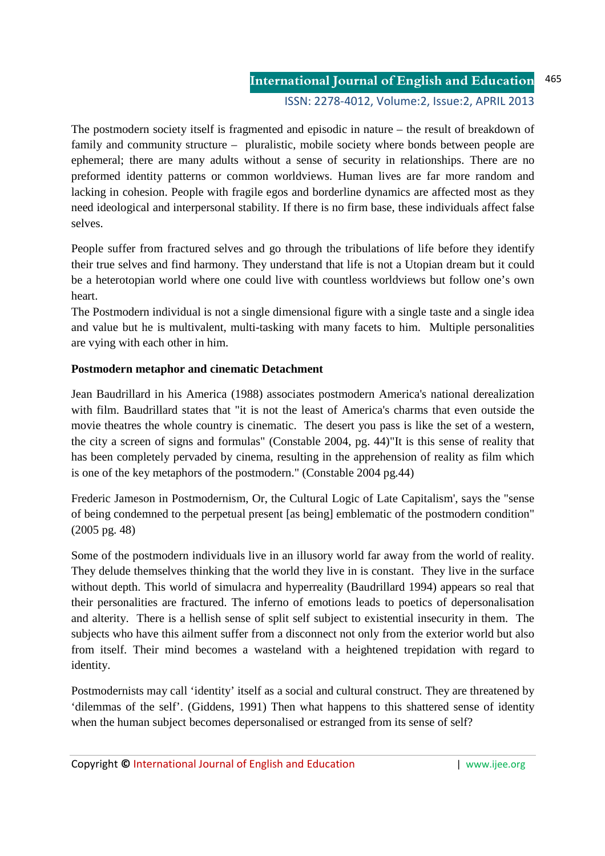**International Journal of English and Education** ISSN: 2278-4012, Volume:2, Issue:2, APRIL 2013 465

The postmodern society itself is fragmented and episodic in nature – the result of breakdown of family and community structure – pluralistic, mobile society where bonds between people are ephemeral; there are many adults without a sense of security in relationships. There are no preformed identity patterns or common worldviews. Human lives are far more random and lacking in cohesion. People with fragile egos and borderline dynamics are affected most as they need ideological and interpersonal stability. If there is no firm base, these individuals affect false selves.

People suffer from fractured selves and go through the tribulations of life before they identify their true selves and find harmony. They understand that life is not a Utopian dream but it could be a heterotopian world where one could live with countless worldviews but follow one's own heart.

The Postmodern individual is not a single dimensional figure with a single taste and a single idea and value but he is multivalent, multi-tasking with many facets to him. Multiple personalities are vying with each other in him.

## **Postmodern metaphor and cinematic Detachment**

Jean Baudrillard in his America (1988) associates postmodern America's national derealization with film. Baudrillard states that "it is not the least of America's charms that even outside the movie theatres the whole country is cinematic. The desert you pass is like the set of a western, the city a screen of signs and formulas" (Constable 2004, pg. 44)"It is this sense of reality that has been completely pervaded by cinema, resulting in the apprehension of reality as film which is one of the key metaphors of the postmodern." (Constable 2004 pg.44)

Frederic Jameson in Postmodernism, Or, the Cultural Logic of Late Capitalism', says the "sense of being condemned to the perpetual present [as being] emblematic of the postmodern condition" (2005 pg. 48)

Some of the postmodern individuals live in an illusory world far away from the world of reality. They delude themselves thinking that the world they live in is constant. They live in the surface without depth. This world of simulacra and hyperreality (Baudrillard 1994) appears so real that their personalities are fractured. The inferno of emotions leads to poetics of depersonalisation and alterity. There is a hellish sense of split self subject to existential insecurity in them. The subjects who have this ailment suffer from a disconnect not only from the exterior world but also from itself. Their mind becomes a wasteland with a heightened trepidation with regard to identity.

Postmodernists may call 'identity' itself as a social and cultural construct. They are threatened by 'dilemmas of the self'. (Giddens, 1991) Then what happens to this shattered sense of identity when the human subject becomes depersonalised or estranged from its sense of self?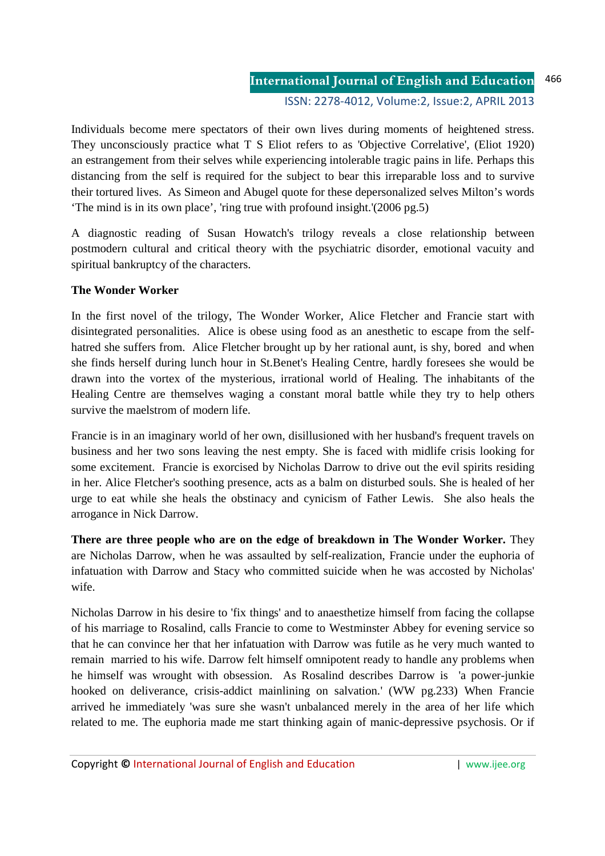Individuals become mere spectators of their own lives during moments of heightened stress. They unconsciously practice what T S Eliot refers to as 'Objective Correlative', (Eliot 1920) an estrangement from their selves while experiencing intolerable tragic pains in life. Perhaps this distancing from the self is required for the subject to bear this irreparable loss and to survive their tortured lives. As Simeon and Abugel quote for these depersonalized selves Milton's words 'The mind is in its own place', 'ring true with profound insight.'(2006 pg.5)

A diagnostic reading of Susan Howatch's trilogy reveals a close relationship between postmodern cultural and critical theory with the psychiatric disorder, emotional vacuity and spiritual bankruptcy of the characters.

## **The Wonder Worker**

In the first novel of the trilogy, The Wonder Worker, Alice Fletcher and Francie start with disintegrated personalities. Alice is obese using food as an anesthetic to escape from the selfhatred she suffers from. Alice Fletcher brought up by her rational aunt, is shy, bored and when she finds herself during lunch hour in St.Benet's Healing Centre, hardly foresees she would be drawn into the vortex of the mysterious, irrational world of Healing. The inhabitants of the Healing Centre are themselves waging a constant moral battle while they try to help others survive the maelstrom of modern life.

Francie is in an imaginary world of her own, disillusioned with her husband's frequent travels on business and her two sons leaving the nest empty. She is faced with midlife crisis looking for some excitement. Francie is exorcised by Nicholas Darrow to drive out the evil spirits residing in her. Alice Fletcher's soothing presence, acts as a balm on disturbed souls. She is healed of her urge to eat while she heals the obstinacy and cynicism of Father Lewis. She also heals the arrogance in Nick Darrow.

**There are three people who are on the edge of breakdown in The Wonder Worker.** They are Nicholas Darrow, when he was assaulted by self-realization, Francie under the euphoria of infatuation with Darrow and Stacy who committed suicide when he was accosted by Nicholas' wife.

Nicholas Darrow in his desire to 'fix things' and to anaesthetize himself from facing the collapse of his marriage to Rosalind, calls Francie to come to Westminster Abbey for evening service so that he can convince her that her infatuation with Darrow was futile as he very much wanted to remain married to his wife. Darrow felt himself omnipotent ready to handle any problems when he himself was wrought with obsession. As Rosalind describes Darrow is 'a power-junkie hooked on deliverance, crisis-addict mainlining on salvation.' (WW pg.233) When Francie arrived he immediately 'was sure she wasn't unbalanced merely in the area of her life which related to me. The euphoria made me start thinking again of manic-depressive psychosis. Or if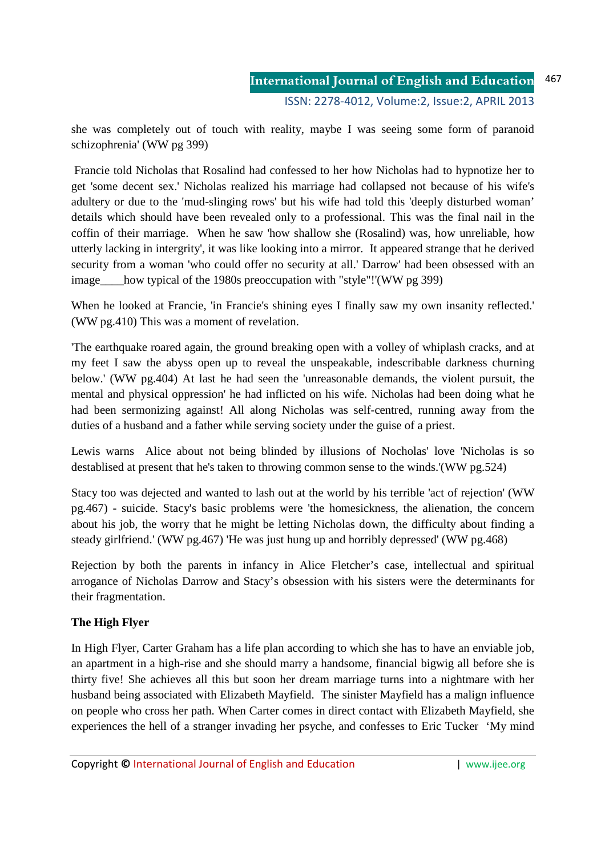she was completely out of touch with reality, maybe I was seeing some form of paranoid schizophrenia' (WW pg 399)

 Francie told Nicholas that Rosalind had confessed to her how Nicholas had to hypnotize her to get 'some decent sex.' Nicholas realized his marriage had collapsed not because of his wife's adultery or due to the 'mud-slinging rows' but his wife had told this 'deeply disturbed woman' details which should have been revealed only to a professional. This was the final nail in the coffin of their marriage. When he saw 'how shallow she (Rosalind) was, how unreliable, how utterly lacking in intergrity', it was like looking into a mirror. It appeared strange that he derived security from a woman 'who could offer no security at all.' Darrow' had been obsessed with an image\_\_\_\_how typical of the 1980s preoccupation with "style"!'(WW pg 399)

When he looked at Francie, 'in Francie's shining eyes I finally saw my own insanity reflected.' (WW pg.410) This was a moment of revelation.

'The earthquake roared again, the ground breaking open with a volley of whiplash cracks, and at my feet I saw the abyss open up to reveal the unspeakable, indescribable darkness churning below.' (WW pg.404) At last he had seen the 'unreasonable demands, the violent pursuit, the mental and physical oppression' he had inflicted on his wife. Nicholas had been doing what he had been sermonizing against! All along Nicholas was self-centred, running away from the duties of a husband and a father while serving society under the guise of a priest.

Lewis warns Alice about not being blinded by illusions of Nocholas' love 'Nicholas is so destablised at present that he's taken to throwing common sense to the winds.'(WW pg.524)

Stacy too was dejected and wanted to lash out at the world by his terrible 'act of rejection' (WW pg.467) - suicide. Stacy's basic problems were 'the homesickness, the alienation, the concern about his job, the worry that he might be letting Nicholas down, the difficulty about finding a steady girlfriend.' (WW pg.467) 'He was just hung up and horribly depressed' (WW pg.468)

Rejection by both the parents in infancy in Alice Fletcher's case, intellectual and spiritual arrogance of Nicholas Darrow and Stacy's obsession with his sisters were the determinants for their fragmentation.

# **The High Flyer**

In High Flyer, Carter Graham has a life plan according to which she has to have an enviable job, an apartment in a high-rise and she should marry a handsome, financial bigwig all before she is thirty five! She achieves all this but soon her dream marriage turns into a nightmare with her husband being associated with Elizabeth Mayfield. The sinister Mayfield has a malign influence on people who cross her path. When Carter comes in direct contact with Elizabeth Mayfield, she experiences the hell of a stranger invading her psyche, and confesses to Eric Tucker 'My mind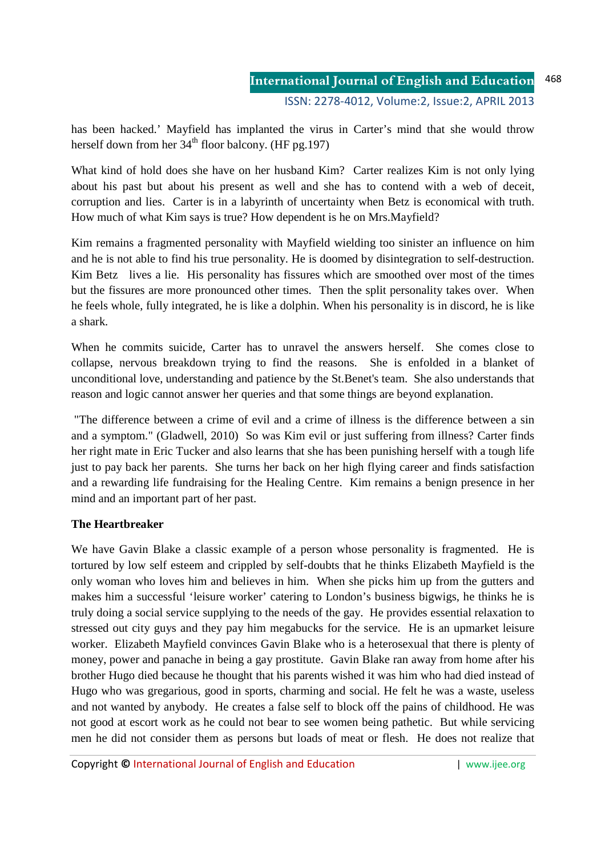has been hacked.' Mayfield has implanted the virus in Carter's mind that she would throw herself down from her  $34<sup>th</sup>$  floor balcony. (HF pg.197)

What kind of hold does she have on her husband Kim? Carter realizes Kim is not only lying about his past but about his present as well and she has to contend with a web of deceit, corruption and lies. Carter is in a labyrinth of uncertainty when Betz is economical with truth. How much of what Kim says is true? How dependent is he on Mrs.Mayfield?

Kim remains a fragmented personality with Mayfield wielding too sinister an influence on him and he is not able to find his true personality. He is doomed by disintegration to self-destruction. Kim Betz lives a lie. His personality has fissures which are smoothed over most of the times but the fissures are more pronounced other times. Then the split personality takes over. When he feels whole, fully integrated, he is like a dolphin. When his personality is in discord, he is like a shark.

When he commits suicide, Carter has to unravel the answers herself. She comes close to collapse, nervous breakdown trying to find the reasons. She is enfolded in a blanket of unconditional love, understanding and patience by the St.Benet's team. She also understands that reason and logic cannot answer her queries and that some things are beyond explanation.

 "The difference between a crime of evil and a crime of illness is the difference between a sin and a symptom." (Gladwell, 2010) So was Kim evil or just suffering from illness? Carter finds her right mate in Eric Tucker and also learns that she has been punishing herself with a tough life just to pay back her parents. She turns her back on her high flying career and finds satisfaction and a rewarding life fundraising for the Healing Centre. Kim remains a benign presence in her mind and an important part of her past.

# **The Heartbreaker**

We have Gavin Blake a classic example of a person whose personality is fragmented. He is tortured by low self esteem and crippled by self-doubts that he thinks Elizabeth Mayfield is the only woman who loves him and believes in him. When she picks him up from the gutters and makes him a successful 'leisure worker' catering to London's business bigwigs, he thinks he is truly doing a social service supplying to the needs of the gay. He provides essential relaxation to stressed out city guys and they pay him megabucks for the service. He is an upmarket leisure worker. Elizabeth Mayfield convinces Gavin Blake who is a heterosexual that there is plenty of money, power and panache in being a gay prostitute. Gavin Blake ran away from home after his brother Hugo died because he thought that his parents wished it was him who had died instead of Hugo who was gregarious, good in sports, charming and social. He felt he was a waste, useless and not wanted by anybody. He creates a false self to block off the pains of childhood. He was not good at escort work as he could not bear to see women being pathetic. But while servicing men he did not consider them as persons but loads of meat or flesh. He does not realize that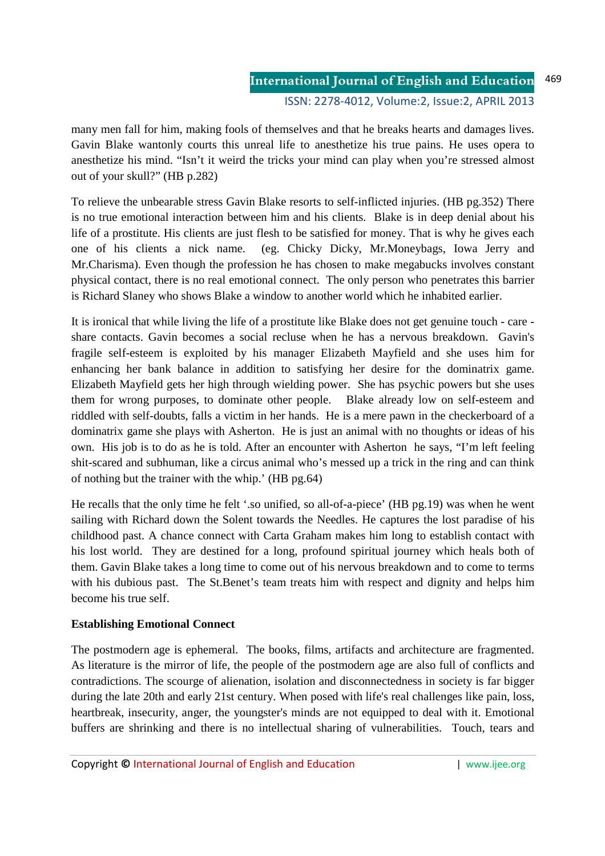#### **International Journal of English and Education** ISSN: 2278-4012, Volume:2, Issue:2, APRIL 2013 469

many men fall for him, making fools of themselves and that he breaks hearts and damages lives. Gavin Blake wantonly courts this unreal life to anesthetize his true pains. He uses opera to anesthetize his mind. "Isn't it weird the tricks your mind can play when you're stressed almost out of your skull?" (HB p.282)

To relieve the unbearable stress Gavin Blake resorts to self-inflicted injuries. (HB pg.352) There is no true emotional interaction between him and his clients. Blake is in deep denial about his life of a prostitute. His clients are just flesh to be satisfied for money. That is why he gives each one of his clients a nick name. (eg. Chicky Dicky, Mr.Moneybags, Iowa Jerry and Mr.Charisma). Even though the profession he has chosen to make megabucks involves constant physical contact, there is no real emotional connect. The only person who penetrates this barrier is Richard Slaney who shows Blake a window to another world which he inhabited earlier.

It is ironical that while living the life of a prostitute like Blake does not get genuine touch - care share contacts. Gavin becomes a social recluse when he has a nervous breakdown. Gavin's fragile self-esteem is exploited by his manager Elizabeth Mayfield and she uses him for enhancing her bank balance in addition to satisfying her desire for the dominatrix game. Elizabeth Mayfield gets her high through wielding power. She has psychic powers but she uses them for wrong purposes, to dominate other people. Blake already low on self-esteem and riddled with self-doubts, falls a victim in her hands. He is a mere pawn in the checkerboard of a dominatrix game she plays with Asherton. He is just an animal with no thoughts or ideas of his own. His job is to do as he is told. After an encounter with Asherton he says, "I'm left feeling shit-scared and subhuman, like a circus animal who's messed up a trick in the ring and can think of nothing but the trainer with the whip.' (HB pg.64)

He recalls that the only time he felt '.so unified, so all-of-a-piece' (HB pg.19) was when he went sailing with Richard down the Solent towards the Needles. He captures the lost paradise of his childhood past. A chance connect with Carta Graham makes him long to establish contact with his lost world. They are destined for a long, profound spiritual journey which heals both of them. Gavin Blake takes a long time to come out of his nervous breakdown and to come to terms with his dubious past. The St.Benet's team treats him with respect and dignity and helps him become his true self.

#### **Establishing Emotional Connect**

The postmodern age is ephemeral. The books, films, artifacts and architecture are fragmented. As literature is the mirror of life, the people of the postmodern age are also full of conflicts and contradictions. The scourge of alienation, isolation and disconnectedness in society is far bigger during the late 20th and early 21st century. When posed with life's real challenges like pain, loss, heartbreak, insecurity, anger, the youngster's minds are not equipped to deal with it. Emotional buffers are shrinking and there is no intellectual sharing of vulnerabilities. Touch, tears and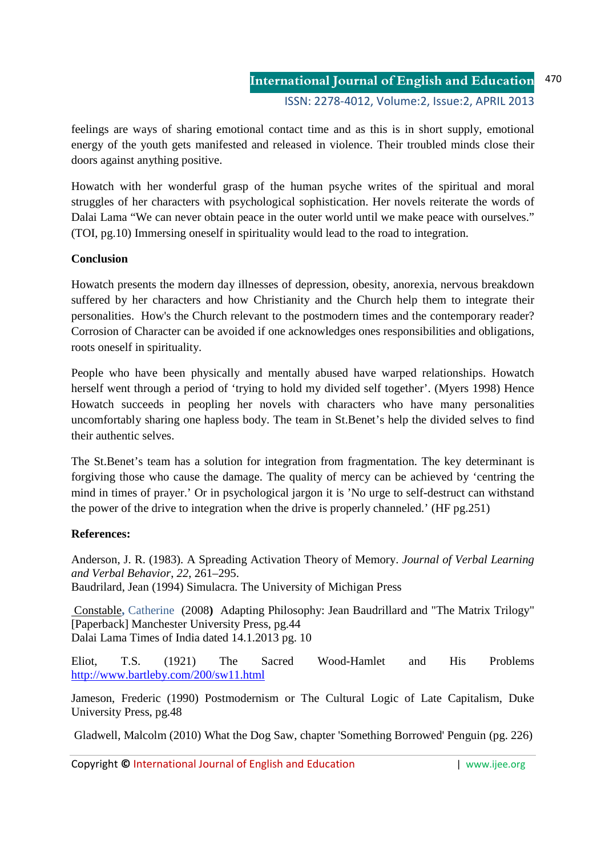**International Journal of English and Education** ISSN: 2278-4012, Volume:2, Issue:2, APRIL 2013 470

feelings are ways of sharing emotional contact time and as this is in short supply, emotional energy of the youth gets manifested and released in violence. Their troubled minds close their doors against anything positive.

Howatch with her wonderful grasp of the human psyche writes of the spiritual and moral struggles of her characters with psychological sophistication. Her novels reiterate the words of Dalai Lama "We can never obtain peace in the outer world until we make peace with ourselves." (TOI, pg.10) Immersing oneself in spirituality would lead to the road to integration.

## **Conclusion**

Howatch presents the modern day illnesses of depression, obesity, anorexia, nervous breakdown suffered by her characters and how Christianity and the Church help them to integrate their personalities. How's the Church relevant to the postmodern times and the contemporary reader? Corrosion of Character can be avoided if one acknowledges ones responsibilities and obligations, roots oneself in spirituality.

People who have been physically and mentally abused have warped relationships. Howatch herself went through a period of 'trying to hold my divided self together'. (Myers 1998) Hence Howatch succeeds in peopling her novels with characters who have many personalities uncomfortably sharing one hapless body. The team in St.Benet's help the divided selves to find their authentic selves.

The St.Benet's team has a solution for integration from fragmentation. The key determinant is forgiving those who cause the damage. The quality of mercy can be achieved by 'centring the mind in times of prayer.' Or in psychological jargon it is 'No urge to self-destruct can withstand the power of the drive to integration when the drive is properly channeled.' (HF pg.251)

# **References:**

Anderson, J. R. (1983). A Spreading Activation Theory of Memory. *Journal of Verbal Learning and Verbal Behavior*, *22*, 261–295. Baudrilard, Jean (1994) Simulacra. The University of Michigan Press

Constable**,** Catherine(2008**)** Adapting Philosophy: Jean Baudrillard and "The Matrix Trilogy" [Paperback] Manchester University Press, pg.44 Dalai Lama Times of India dated 14.1.2013 pg. 10

Eliot, T.S. (1921) The Sacred Wood-Hamlet and His Problems http://www.bartleby.com/200/sw11.html

Jameson, Frederic (1990) Postmodernism or The Cultural Logic of Late Capitalism, Duke University Press, pg.48

Gladwell, Malcolm (2010) What the Dog Saw, chapter 'Something Borrowed' Penguin (pg. 226)